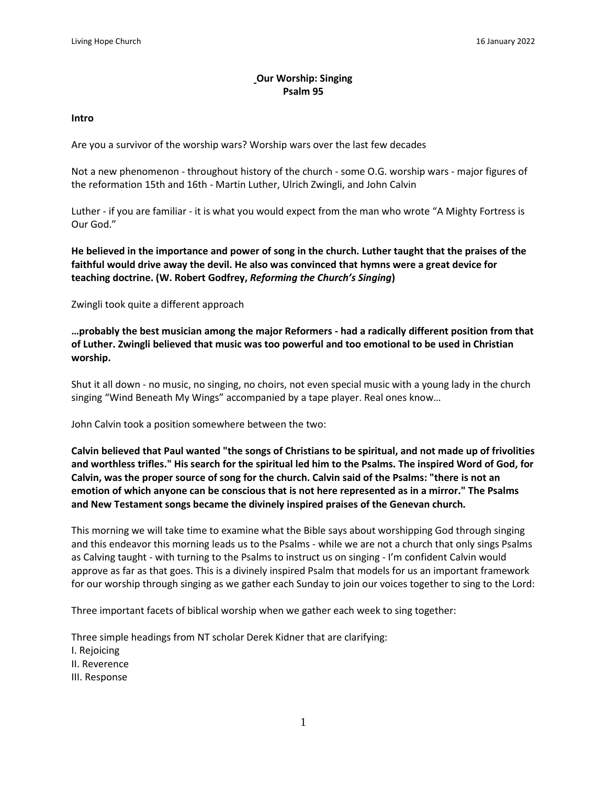# **Our Worship: Singing Psalm 95**

#### **Intro**

Are you a survivor of the worship wars? Worship wars over the last few decades

Not a new phenomenon - throughout history of the church - some O.G. worship wars - major figures of the reformation 15th and 16th - Martin Luther, Ulrich Zwingli, and John Calvin

Luther - if you are familiar - it is what you would expect from the man who wrote "A Mighty Fortress is Our God."

He believed in the importance and power of song in the church. Luther taught that the praises of the **faithful would drive away the devil. He also was convinced that hymns were a great device for teaching doctrine. (W. Robert Godfrey,** *Reforming the Church's Singing***)**

Zwingli took quite a different approach

**…probably the best musician among the major Reformers - had a radically different position from that of Luther. Zwingli believed that music was too powerful and too emotional to be used in Christian worship.**

Shut it all down - no music, no singing, no choirs, not even special music with a young lady in the church singing "Wind Beneath My Wings" accompanied by a tape player. Real ones know…

John Calvin took a position somewhere between the two:

Calvin believed that Paul wanted "the songs of Christians to be spiritual, and not made up of frivolities and worthless trifles." His search for the spiritual led him to the Psalms. The inspired Word of God, for Calvin, was the proper source of song for the church. Calvin said of the Psalms: "there is not an **emotion of which anyone can be conscious that is not here represented as in a mirror." The Psalms and New Testament songs became the divinely inspired praises of the Genevan church.**

This morning we will take time to examine what the Bible says about worshipping God through singing and this endeavor this morning leads us to the Psalms - while we are not a church that only sings Psalms as Calving taught - with turning to the Psalms to instruct us on singing - I'm confident Calvin would approve as far as that goes. This is a divinely inspired Psalm that models for us an important framework for our worship through singing as we gather each Sunday to join our voices together to sing to the Lord:

Three important facets of biblical worship when we gather each week to sing together:

Three simple headings from NT scholar Derek Kidner that are clarifying: I. Rejoicing II. Reverence III. Response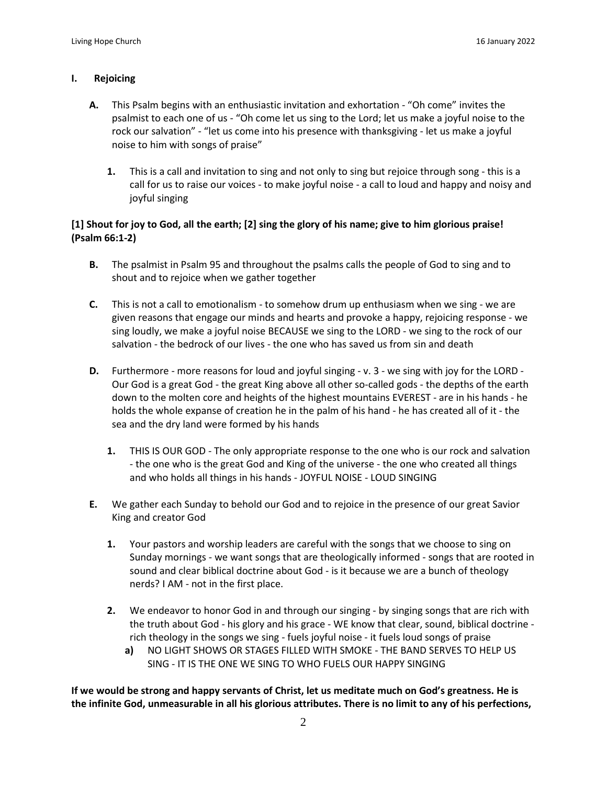#### **I. Rejoicing**

- **A.** This Psalm begins with an enthusiastic invitation and exhortation "Oh come" invites the psalmist to each one of us - "Oh come let us sing to the Lord; let us make a joyful noise to the rock our salvation" - "let us come into his presence with thanksgiving - let us make a joyful noise to him with songs of praise"
	- **1.** This is a call and invitation to sing and not only to sing but rejoice through song this is a call for us to raise our voices - to make joyful noise - a call to loud and happy and noisy and joyful singing

# [1] Shout for joy to God, all the earth; [2] sing the glory of his name; give to him glorious praise! **(Psalm 66:1-2)**

- **B.** The psalmist in Psalm 95 and throughout the psalms calls the people of God to sing and to shout and to rejoice when we gather together
- **C.** This is not a call to emotionalism to somehow drum up enthusiasm when we sing we are given reasons that engage our minds and hearts and provoke a happy, rejoicing response - we sing loudly, we make a joyful noise BECAUSE we sing to the LORD - we sing to the rock of our salvation - the bedrock of our lives - the one who has saved us from sin and death
- **D.** Furthermore more reasons for loud and joyful singing v. 3 we sing with joy for the LORD Our God is a great God - the great King above all other so-called gods - the depths of the earth down to the molten core and heights of the highest mountains EVEREST - are in his hands - he holds the whole expanse of creation he in the palm of his hand - he has created all of it - the sea and the dry land were formed by his hands
	- **1.** THIS IS OUR GOD The only appropriate response to the one who is our rock and salvation - the one who is the great God and King of the universe - the one who created all things and who holds all things in his hands - JOYFUL NOISE - LOUD SINGING
- **E.** We gather each Sunday to behold our God and to rejoice in the presence of our great Savior King and creator God
	- **1.** Your pastors and worship leaders are careful with the songs that we choose to sing on Sunday mornings - we want songs that are theologically informed - songs that are rooted in sound and clear biblical doctrine about God - is it because we are a bunch of theology nerds? I AM - not in the first place.
	- **2.** We endeavor to honor God in and through our singing by singing songs that are rich with the truth about God - his glory and his grace - WE know that clear, sound, biblical doctrine rich theology in the songs we sing - fuels joyful noise - it fuels loud songs of praise
		- **a)** NO LIGHT SHOWS OR STAGES FILLED WITH SMOKE THE BAND SERVES TO HELP US SING - IT IS THE ONE WE SING TO WHO FUELS OUR HAPPY SINGING

If we would be strong and happy servants of Christ, let us meditate much on God's greatness. He is the infinite God, unmeasurable in all his glorious attributes. There is no limit to any of his perfections,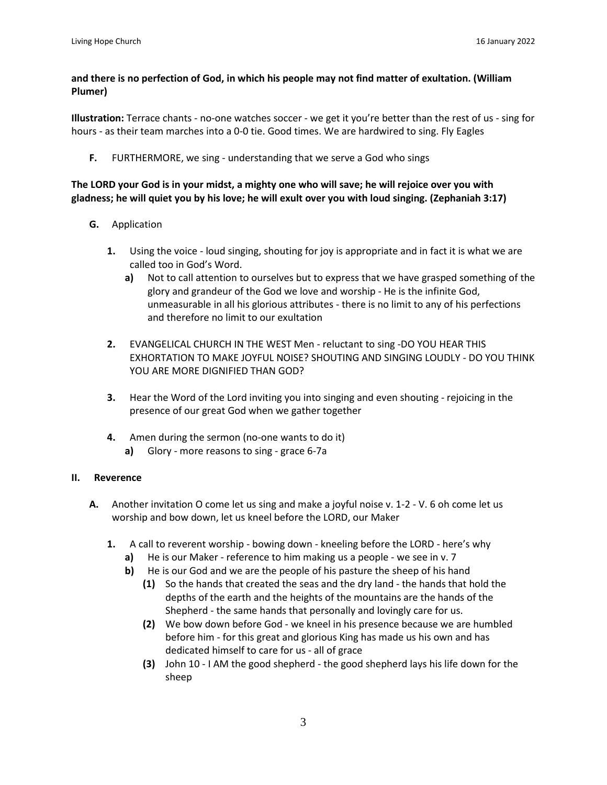### **and there is no perfection of God, in which his people may not find matter of exultation. (William Plumer)**

**Illustration:** Terrace chants - no-one watches soccer - we get it you're better than the rest of us - sing for hours - as their team marches into a 0-0 tie. Good times. We are hardwired to sing. Fly Eagles

**F.** FURTHERMORE, we sing - understanding that we serve a God who sings

### The LORD your God is in your midst, a mighty one who will save; he will rejoice over you with gladness; he will quiet you by his love; he will exult over you with loud singing. (Zephaniah 3:17)

- **G.** Application
	- **1.** Using the voice loud singing, shouting for joy is appropriate and in fact it is what we are called too in God's Word.
		- **a)** Not to call attention to ourselves but to express that we have grasped something of the glory and grandeur of the God we love and worship - He is the infinite God, unmeasurable in all his glorious attributes - there is no limit to any of his perfections and therefore no limit to our exultation
	- **2.** EVANGELICAL CHURCH IN THE WEST Men reluctant to sing -DO YOU HEAR THIS EXHORTATION TO MAKE JOYFUL NOISE? SHOUTING AND SINGING LOUDLY - DO YOU THINK YOU ARE MORE DIGNIFIED THAN GOD?
	- **3.** Hear the Word of the Lord inviting you into singing and even shouting rejoicing in the presence of our great God when we gather together
	- **4.** Amen during the sermon (no-one wants to do it)
		- **a)** Glory more reasons to sing grace 6-7a

#### **II. Reverence**

- **A.** Another invitation O come let us sing and make a joyful noise v. 1-2 V. 6 oh come let us worship and bow down, let us kneel before the LORD, our Maker
	- **1.** A call to reverent worship bowing down kneeling before the LORD here's why
		- **a)** He is our Maker reference to him making us a people we see in v. 7
		- **b)** He is our God and we are the people of his pasture the sheep of his hand
			- **(1)** So the hands that created the seas and the dry land the hands that hold the depths of the earth and the heights of the mountains are the hands of the Shepherd - the same hands that personally and lovingly care for us.
			- **(2)** We bow down before God we kneel in his presence because we are humbled before him - for this great and glorious King has made us his own and has dedicated himself to care for us - all of grace
			- **(3)** John 10 I AM the good shepherd the good shepherd lays his life down for the sheep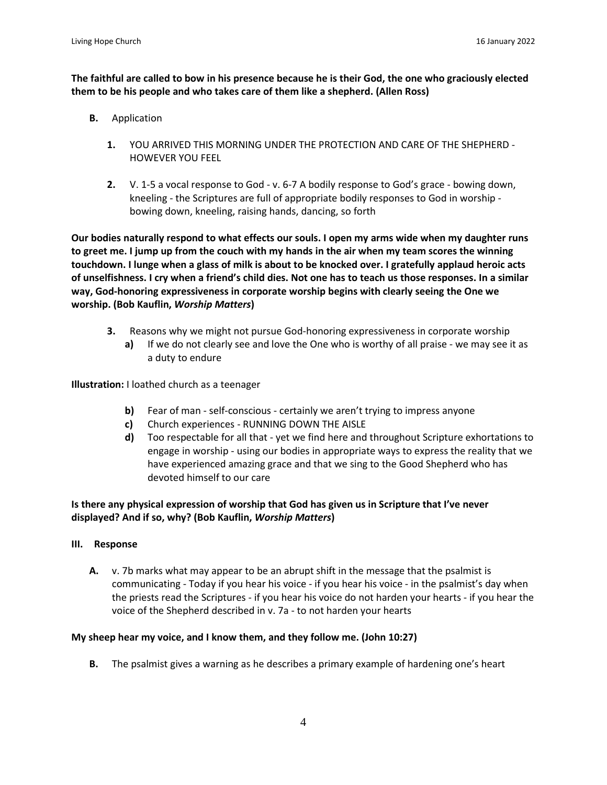The faithful are called to bow in his presence because he is their God, the one who graciously elected **them to be his people and who takes care of them like a shepherd. (Allen Ross)**

- **B.** Application
	- **1.** YOU ARRIVED THIS MORNING UNDER THE PROTECTION AND CARE OF THE SHEPHERD HOWEVER YOU FEEL
	- **2.** V. 1-5 a vocal response to God v. 6-7 A bodily response to God's grace bowing down, kneeling - the Scriptures are full of appropriate bodily responses to God in worship bowing down, kneeling, raising hands, dancing, so forth

**Our bodies naturally respond to what effects our souls. I open my arms wide when my daughter runs** to greet me. I jump up from the couch with my hands in the air when my team scores the winning touchdown. I lunge when a glass of milk is about to be knocked over. I gratefully applaud heroic acts of unselfishness. I cry when a friend's child dies. Not one has to teach us those responses. In a similar **way, God-honoring expressiveness in corporate worship begins with clearly seeing the One we worship. (Bob Kauflin,** *Worship Matters***)**

- **3.** Reasons why we might not pursue God-honoring expressiveness in corporate worship
	- **a)** If we do not clearly see and love the One who is worthy of all praise we may see it as a duty to endure

**Illustration:** I loathed church as a teenager

- **b)** Fear of man self-conscious certainly we aren't trying to impress anyone
- **c)** Church experiences RUNNING DOWN THE AISLE
- **d)** Too respectable for all that yet we find here and throughout Scripture exhortations to engage in worship - using our bodies in appropriate ways to express the reality that we have experienced amazing grace and that we sing to the Good Shepherd who has devoted himself to our care

# Is there any physical expression of worship that God has given us in Scripture that I've never **displayed? And if so, why? (Bob Kauflin,** *Worship Matters***)**

### **III. Response**

**A.** v. 7b marks what may appear to be an abrupt shift in the message that the psalmist is communicating - Today if you hear his voice - if you hear his voice - in the psalmist's day when the priests read the Scriptures - if you hear his voice do not harden your hearts - if you hear the voice of the Shepherd described in v. 7a - to not harden your hearts

### **My sheep hear my voice, and I know them, and they follow me. (John 10:27)**

**B.** The psalmist gives a warning as he describes a primary example of hardening one's heart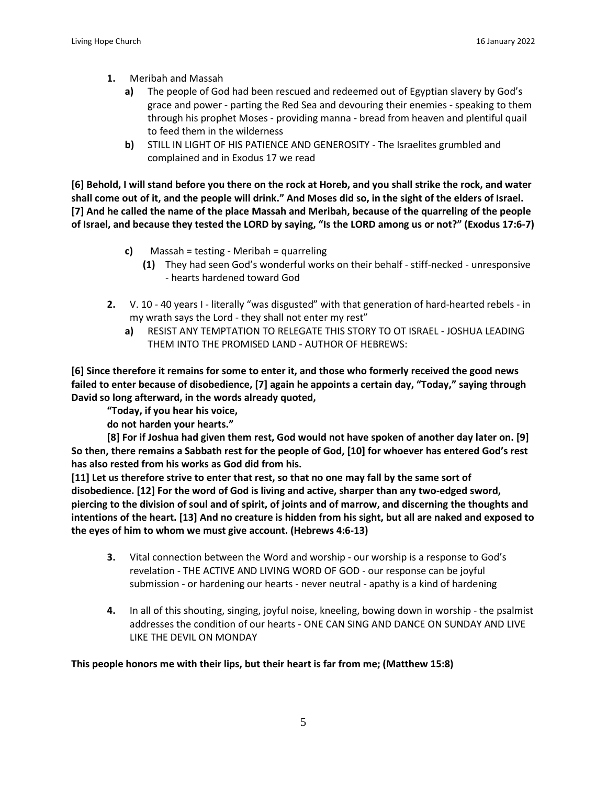- **1.** Meribah and Massah
	- **a)** The people of God had been rescued and redeemed out of Egyptian slavery by God's grace and power - parting the Red Sea and devouring their enemies - speaking to them through his prophet Moses - providing manna - bread from heaven and plentiful quail to feed them in the wilderness
	- **b)** STILL IN LIGHT OF HIS PATIENCE AND GENEROSITY The Israelites grumbled and complained and in Exodus 17 we read

[6] Behold, I will stand before you there on the rock at Horeb, and you shall strike the rock, and water shall come out of it, and the people will drink." And Moses did so, in the sight of the elders of Israel. [7] And he called the name of the place Massah and Meribah, because of the quarreling of the people of Israel, and because they tested the LORD by saying, "Is the LORD among us or not?" (Exodus 17:6-7)

- **c)** Massah = testing Meribah = quarreling
	- **(1)** They had seen God's wonderful works on their behalf stiff-necked unresponsive - hearts hardened toward God
- **2.** V. 10 40 years I literally "was disgusted" with that generation of hard-hearted rebels in my wrath says the Lord - they shall not enter my rest"
	- **a)** RESIST ANY TEMPTATION TO RELEGATE THIS STORY TO OT ISRAEL JOSHUA LEADING THEM INTO THE PROMISED LAND - AUTHOR OF HEBREWS:

**[6] Since therefore it remains for some to enter it, and those who formerly received the good news** failed to enter because of disobedience, [7] again he appoints a certain day, "Today," saying through **David so long afterward, in the words already quoted,**

**"Today, if you hear his voice,**

**do not harden your hearts."**

[8] For if Joshua had given them rest, God would not have spoken of another day later on. [9] So then, there remains a Sabbath rest for the people of God, [10] for whoever has entered God's rest **has also rested from his works as God did from his.**

[11] Let us therefore strive to enter that rest, so that no one may fall by the same sort of **disobedience. [12] For the word of God is living and active, sharper than any two-edged sword,** piercing to the division of soul and of spirit, of joints and of marrow, and discerning the thoughts and intentions of the heart. [13] And no creature is hidden from his sight, but all are naked and exposed to **the eyes of him to whom we must give account. (Hebrews 4:6-13)**

- **3.** Vital connection between the Word and worship our worship is a response to God's revelation - THE ACTIVE AND LIVING WORD OF GOD - our response can be joyful submission - or hardening our hearts - never neutral - apathy is a kind of hardening
- **4.** In all of this shouting, singing, joyful noise, kneeling, bowing down in worship the psalmist addresses the condition of our hearts - ONE CAN SING AND DANCE ON SUNDAY AND LIVE LIKE THE DEVIL ON MONDAY

### **This people honors me with their lips, but their heart is far from me; (Matthew 15:8)**